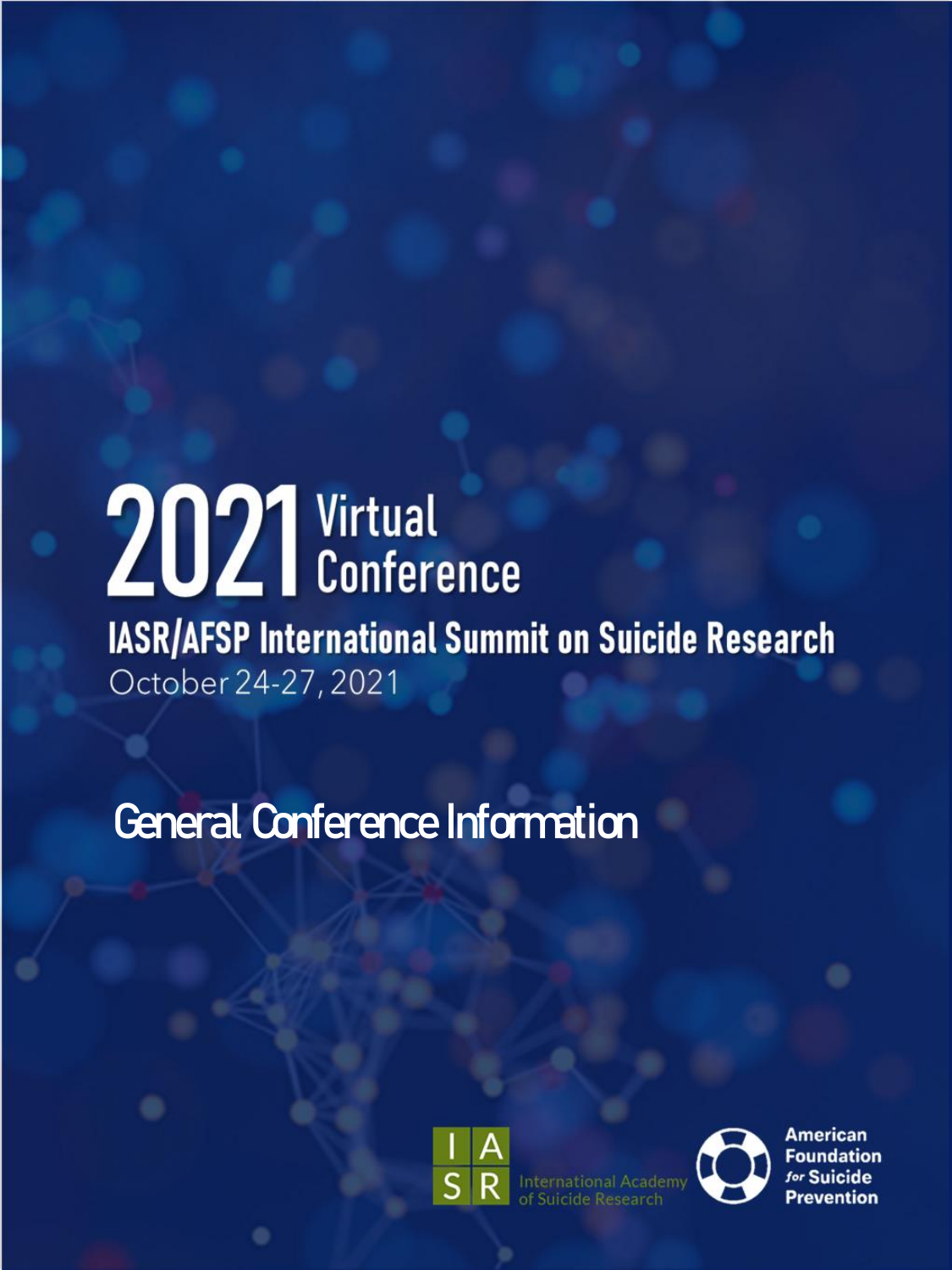# 2021 Virtual **IASR/AFSP International Summit on Suicide Research** October 24-27, 2021

## General Conference Information





**American Foundation** for Suicide **Prevention**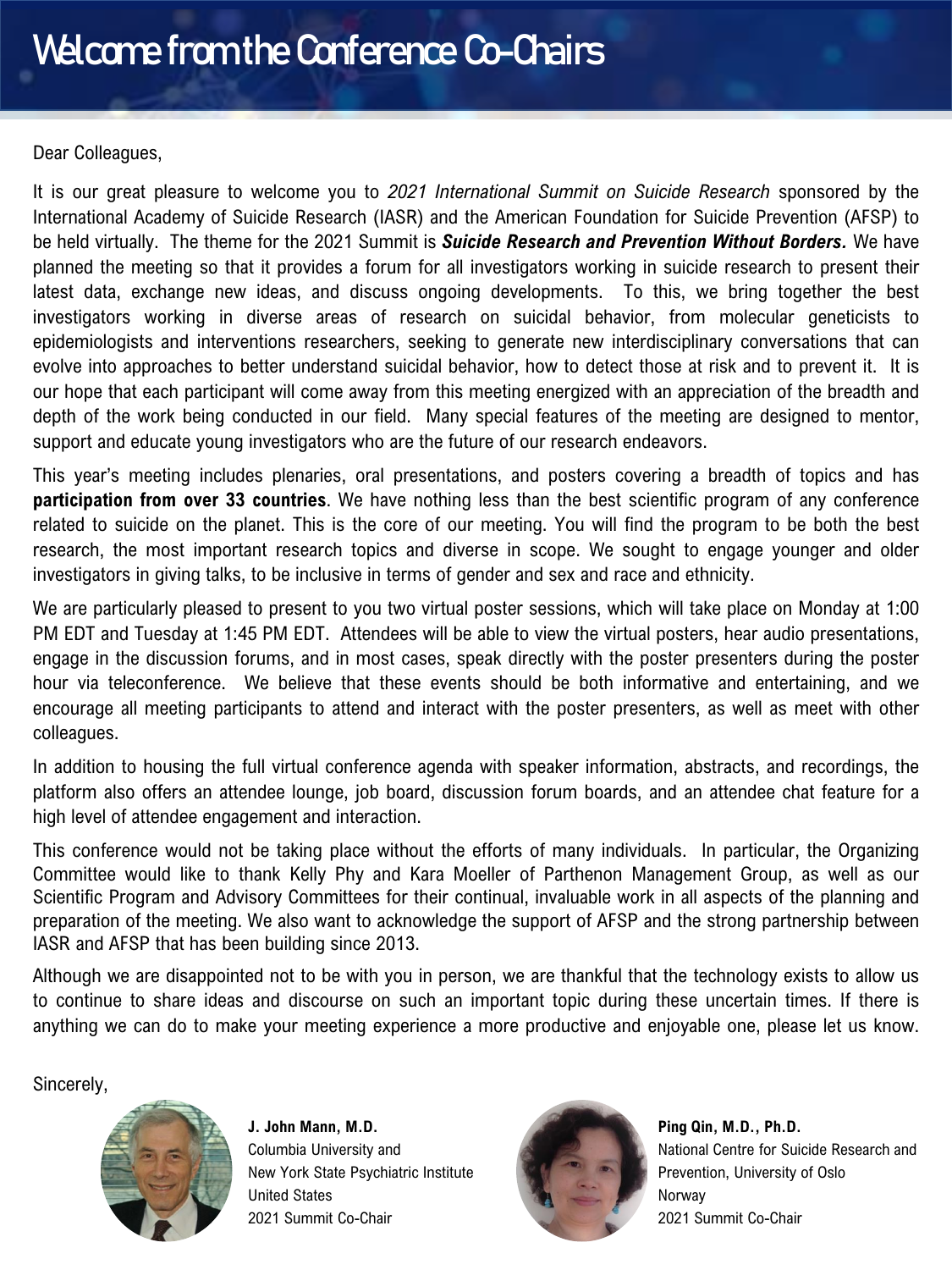#### Dear Colleagues,

It is our great pleasure to welcome you to *2021 International Summit on Suicide Research* sponsored by the International Academy of Suicide Research (IASR) and the American Foundation for Suicide Prevention (AFSP) to be held virtually. The theme for the 2021 Summit is *Suicide Research and Prevention Without Borders.* We have planned the meeting so that it provides a forum for all investigators working in suicide research to present their latest data, exchange new ideas, and discuss ongoing developments. To this, we bring together the best investigators working in diverse areas of research on suicidal behavior, from molecular geneticists to epidemiologists and interventions researchers, seeking to generate new interdisciplinary conversations that can evolve into approaches to better understand suicidal behavior, how to detect those at risk and to prevent it. It is our hope that each participant will come away from this meeting energized with an appreciation of the breadth and depth of the work being conducted in our field. Many special features of the meeting are designed to mentor, support and educate young investigators who are the future of our research endeavors.

This year's meeting includes plenaries, oral presentations, and posters covering a breadth of topics and has **participation from over 33 countries**. We have nothing less than the best scientific program of any conference related to suicide on the planet. This is the core of our meeting. You will find the program to be both the best research, the most important research topics and diverse in scope. We sought to engage younger and older investigators in giving talks, to be inclusive in terms of gender and sex and race and ethnicity.

We are particularly pleased to present to you two virtual poster sessions, which will take place on Monday at 1:00 PM EDT and Tuesday at 1:45 PM EDT. Attendees will be able to view the virtual posters, hear audio presentations, engage in the discussion forums, and in most cases, speak directly with the poster presenters during the poster hour via teleconference. We believe that these events should be both informative and entertaining, and we encourage all meeting participants to attend and interact with the poster presenters, as well as meet with other colleagues.

In addition to housing the full virtual conference agenda with speaker information, abstracts, and recordings, the platform also offers an attendee lounge, job board, discussion forum boards, and an attendee chat feature for a high level of attendee engagement and interaction.

This conference would not be taking place without the efforts of many individuals. In particular, the Organizing Committee would like to thank Kelly Phy and Kara Moeller of Parthenon Management Group, as well as our Scientific Program and Advisory Committees for their continual, invaluable work in all aspects of the planning and preparation of the meeting. We also want to acknowledge the support of AFSP and the strong partnership between IASR and AFSP that has been building since 2013.

Although we are disappointed not to be with you in person, we are thankful that the technology exists to allow us to continue to share ideas and discourse on such an important topic during these uncertain times. If there is anything we can do to make your meeting experience a more productive and enjoyable one, please let us know.

Sincerely,



**J. John Mann, M.D.** Columbia University and New York State Psychiatric Institute United States 2021 Summit Co-Chair



**Ping Qin, M.D., Ph.D.** National Centre for Suicide Research and Prevention, University of Oslo Norway 2021 Summit Co-Chair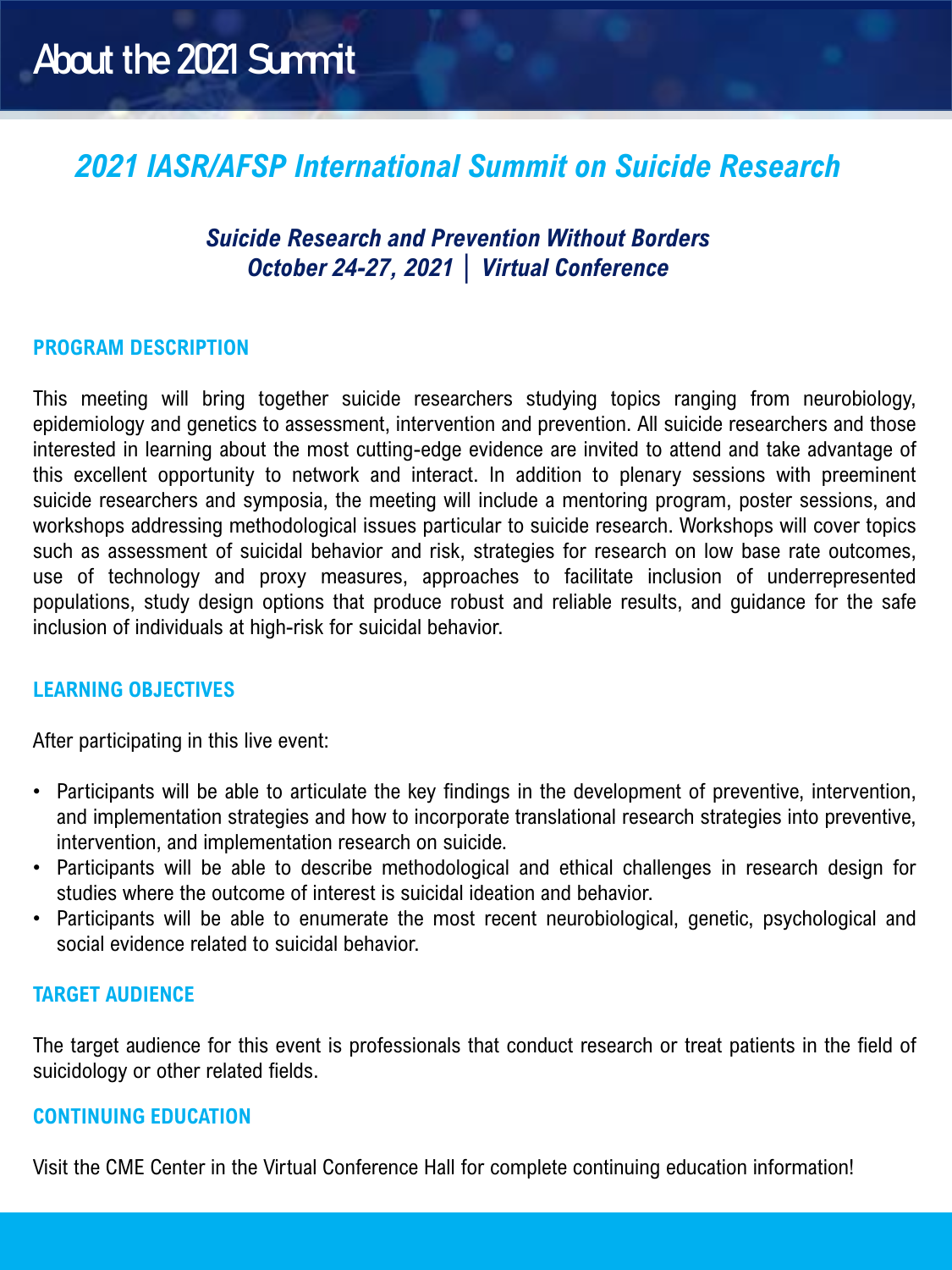## *2021 IASR/AFSP International Summit on Suicide Research*

#### *Suicide Research and Prevention Without Borders October 24-27, 2021 │ Virtual Conference*

#### **PROGRAM DESCRIPTION**

This meeting will bring together suicide researchers studying topics ranging from neurobiology, epidemiology and genetics to assessment, intervention and prevention. All suicide researchers and those interested in learning about the most cutting-edge evidence are invited to attend and take advantage of this excellent opportunity to network and interact. In addition to plenary sessions with preeminent suicide researchers and symposia, the meeting will include a mentoring program, poster sessions, and workshops addressing methodological issues particular to suicide research. Workshops will cover topics such as assessment of suicidal behavior and risk, strategies for research on low base rate outcomes, use of technology and proxy measures, approaches to facilitate inclusion of underrepresented populations, study design options that produce robust and reliable results, and guidance for the safe inclusion of individuals at high-risk for suicidal behavior.

#### **LEARNING OBJECTIVES**

After participating in this live event:

- Participants will be able to articulate the key findings in the development of preventive, intervention, and implementation strategies and how to incorporate translational research strategies into preventive, intervention, and implementation research on suicide.
- Participants will be able to describe methodological and ethical challenges in research design for studies where the outcome of interest is suicidal ideation and behavior.
- Participants will be able to enumerate the most recent neurobiological, genetic, psychological and social evidence related to suicidal behavior.

#### **TARGET AUDIENCE**

The target audience for this event is professionals that conduct research or treat patients in the field of suicidology or other related fields.

#### **CONTINUING EDUCATION**

Visit the CME Center in the Virtual Conference Hall for complete continuing education information!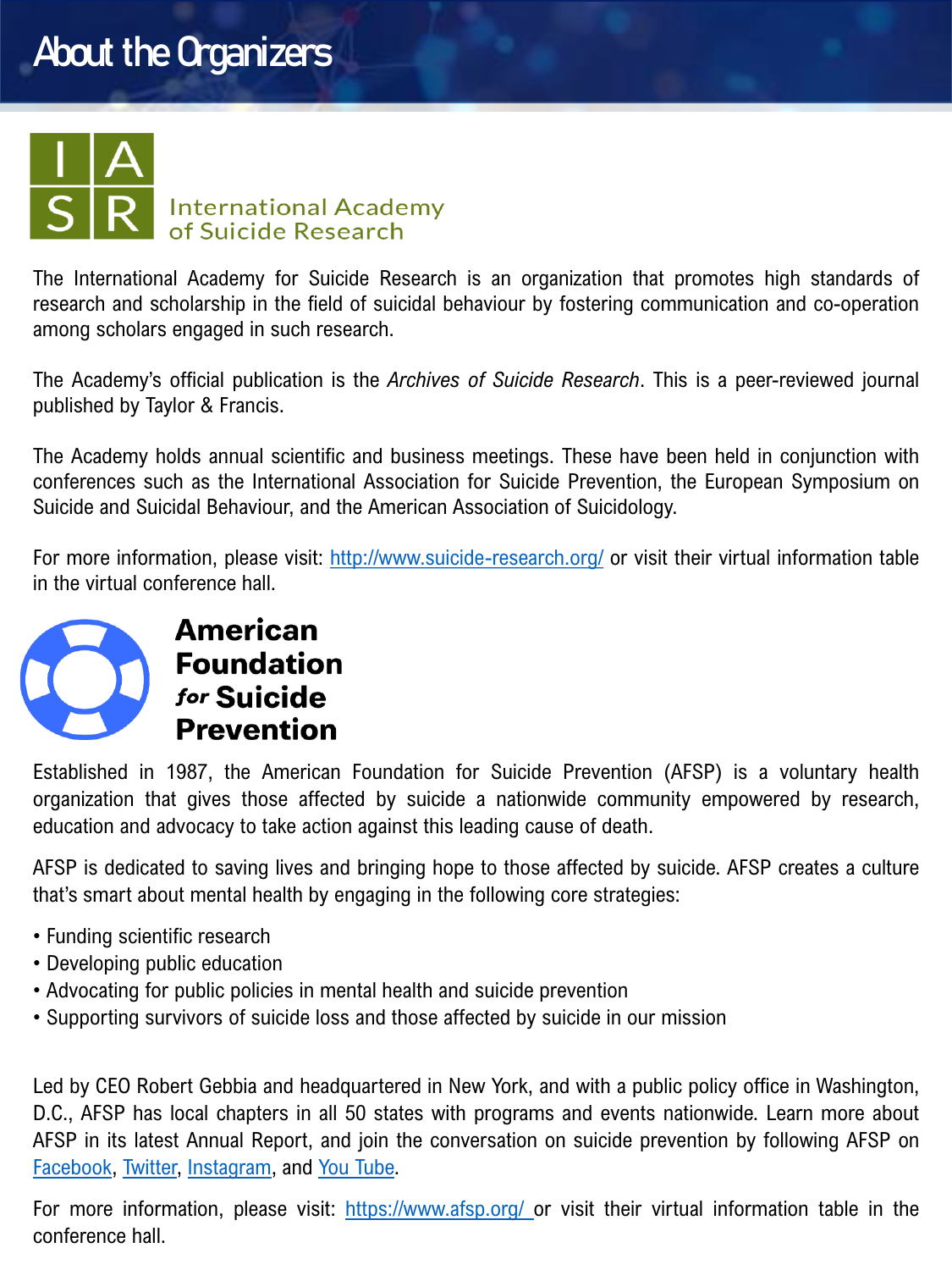## About the Organizers



The International Academy for Suicide Research is an organization that promotes high standards of research and scholarship in the field of suicidal behaviour by fostering communication and co-operation among scholars engaged in such research.

The Academy's official publication is the *Archives of Suicide Research*. This is a peer-reviewed journal published by Taylor & Francis.

The Academy holds annual scientific and business meetings. These have been held in conjunction with conferences such as the International Association for Suicide Prevention, the European Symposium on Suicide and Suicidal Behaviour, and the American Association of Suicidology.

For more information, please visit: <http://www.suicide-research.org/> or visit their virtual information table in the virtual conference hall.



#### **American Foundation** for Suicide **Prevention**

Established in 1987, the American Foundation for Suicide Prevention (AFSP) is a voluntary health organization that gives those affected by suicide a nationwide community empowered by research, education and advocacy to take action against this leading cause of death.

AFSP is dedicated to saving lives and bringing hope to those affected by suicide. AFSP creates a culture that's smart about mental health by engaging in the following core strategies:

- Funding scientific research
- Developing public education
- Advocating for public policies in mental health and suicide prevention
- Supporting survivors of suicide loss and those affected by suicide in our mission

Led by CEO Robert Gebbia and headquartered in New York, and with a public policy office in Washington, D.C., AFSP has local chapters in all 50 states with programs and events nationwide. Learn more about AFSP in its latest Annual Report, and join the conversation on suicide prevention by following AFSP on [Facebook,](https://www.facebook.com/AFSPnational) [Twitter,](https://twitter.com/afspnational) [Instagram](https://www.instagram.com/afspnational/), and You [Tube.](https://www.youtube.com/user/AFSPNational)

For more information, please visit: <https://www.afsp.org/> or visit their virtual information table in the conference hall.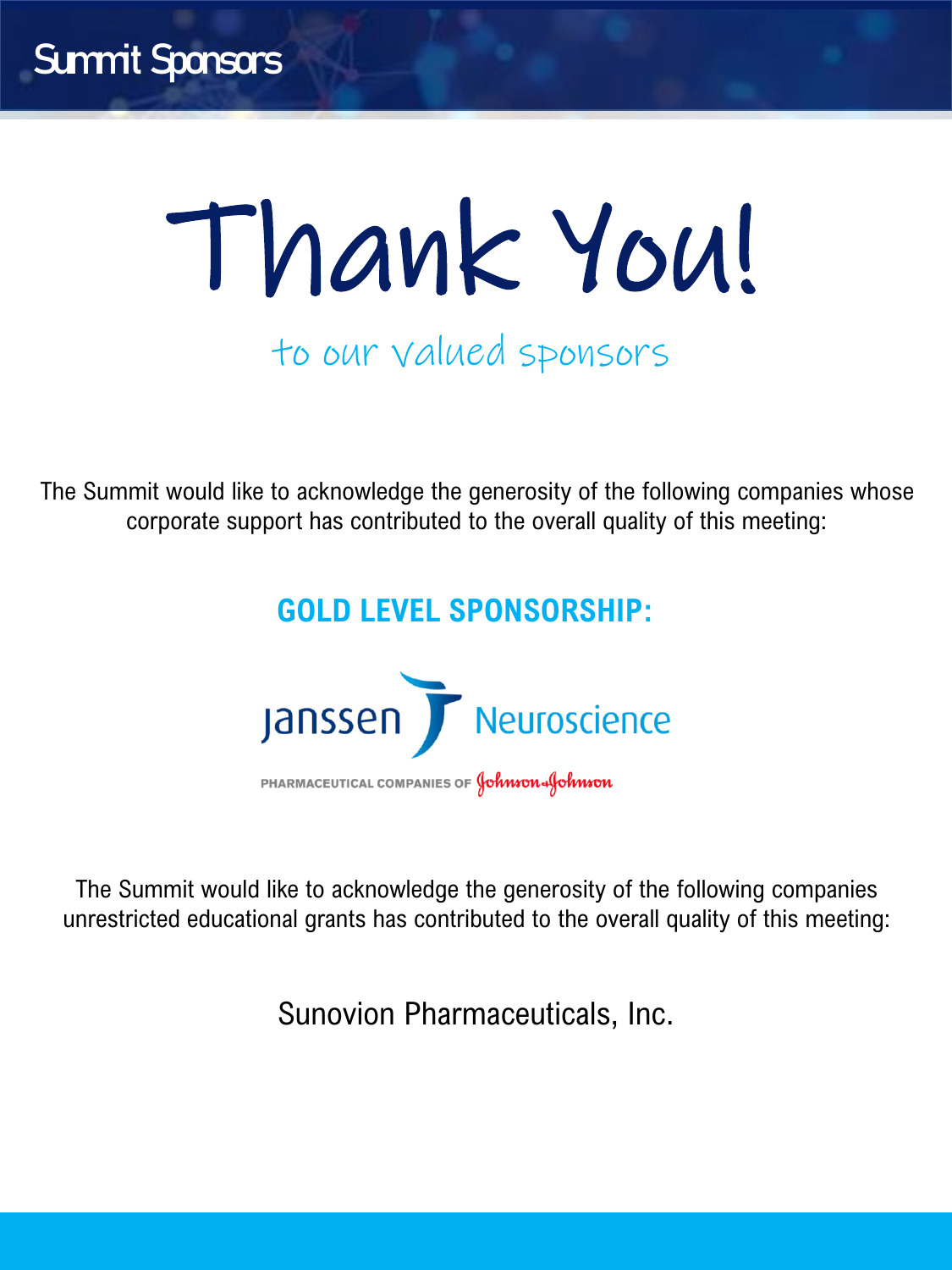# Thank You! to our valued sponsors

The Summit would like to acknowledge the generosity of the following companies whose corporate support has contributed to the overall quality of this meeting:

## **GOLD LEVEL SPONSORSHIP:**



The Summit would like to acknowledge the generosity of the following companies unrestricted educational grants has contributed to the overall quality of this meeting:

Sunovion Pharmaceuticals, Inc.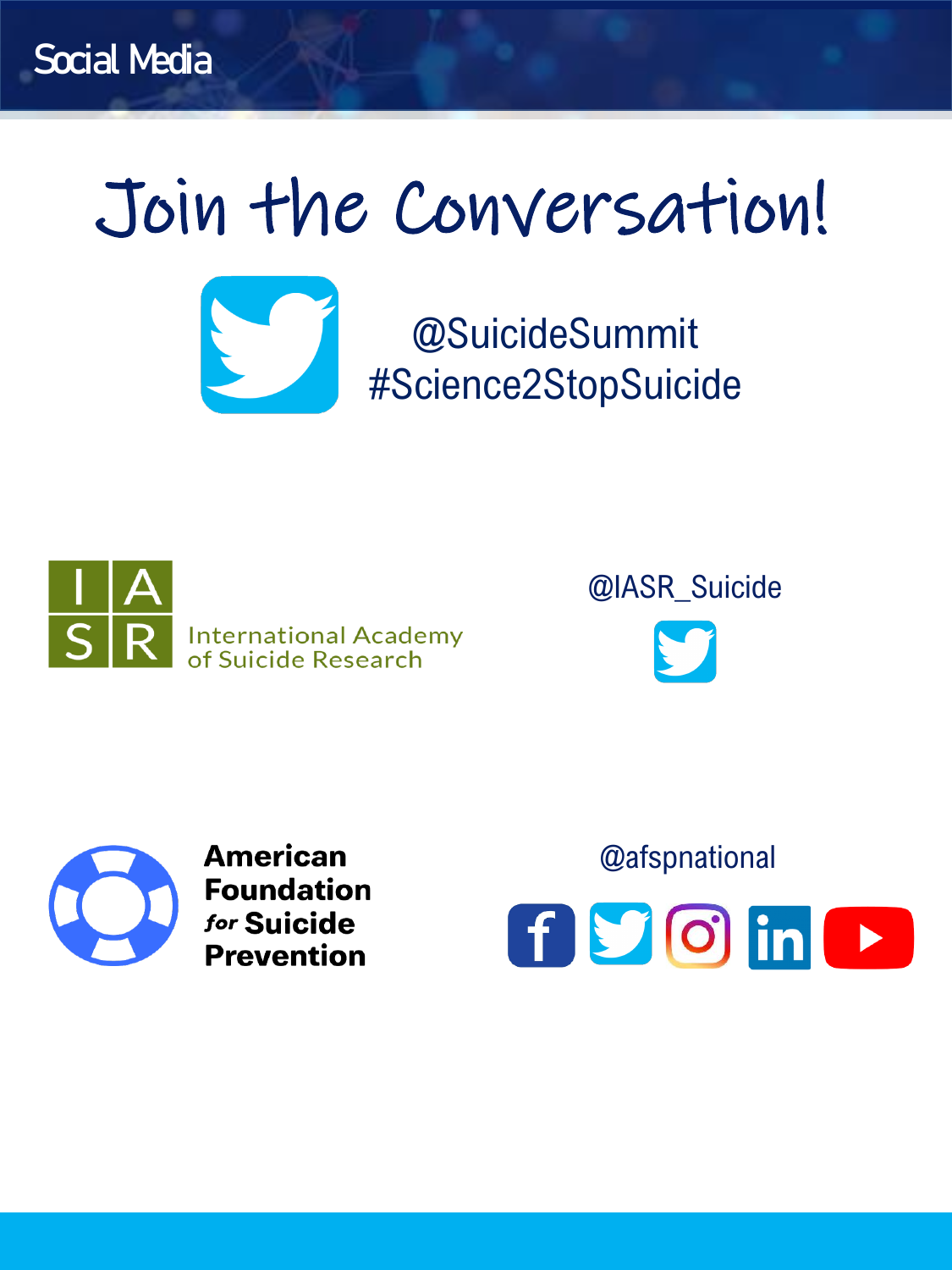# Join the Conversation!



@SuicideSummit #Science2StopSuicide



@IASR\_Suicide



**American Foundation** for Suicide **Prevention** 

fyoin  $\blacktriangleright$ 

@afspnational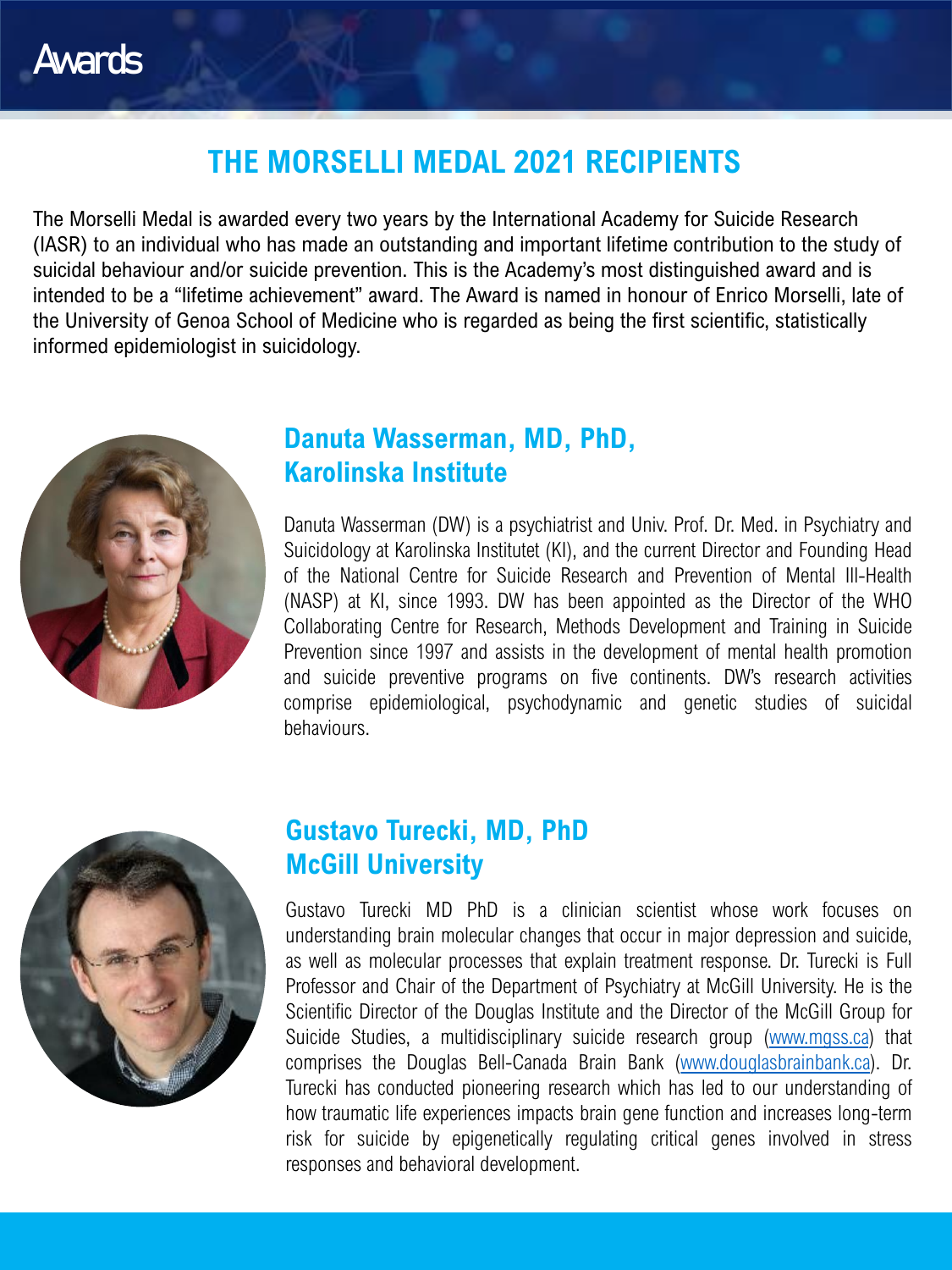### **THE MORSELLI MEDAL 2021 RECIPIENTS**

The Morselli Medal is awarded every two years by the International Academy for Suicide Research (IASR) to an individual who has made an outstanding and important lifetime contribution to the study of suicidal behaviour and/or suicide prevention. This is the Academy's most distinguished award and is intended to be a "lifetime achievement" award. The Award is named in honour of Enrico Morselli, late of the University of Genoa School of Medicine who is regarded as being the first scientific, statistically informed epidemiologist in suicidology.



#### **Danuta Wasserman, MD, PhD, Karolinska Institute**

Danuta Wasserman (DW) is a psychiatrist and Univ. Prof. Dr. Med. in Psychiatry and Suicidology at Karolinska Institutet (KI), and the current Director and Founding Head of the National Centre for Suicide Research and Prevention of Mental Ill-Health (NASP) at KI, since 1993. DW has been appointed as the Director of the WHO Collaborating Centre for Research, Methods Development and Training in Suicide Prevention since 1997 and assists in the development of mental health promotion and suicide preventive programs on five continents. DW's research activities comprise epidemiological, psychodynamic and genetic studies of suicidal behaviours.



#### **Gustavo Turecki, MD, PhD McGill University**

Gustavo Turecki MD PhD is a clinician scientist whose work focuses on understanding brain molecular changes that occur in major depression and suicide, as well as molecular processes that explain treatment response. Dr. Turecki is Full Professor and Chair of the Department of Psychiatry at McGill University. He is the Scientific Director of the Douglas Institute and the Director of the McGill Group for Suicide Studies, a multidisciplinary suicide research group [\(www.mgss.ca\)](http://www.mgss.ca/) that comprises the Douglas Bell-Canada Brain Bank [\(www.douglasbrainbank.ca](http://www.douglasbrainbank.ca/)). Dr. Turecki has conducted pioneering research which has led to our understanding of how traumatic life experiences impacts brain gene function and increases long-term risk for suicide by epigenetically regulating critical genes involved in stress responses and behavioral development.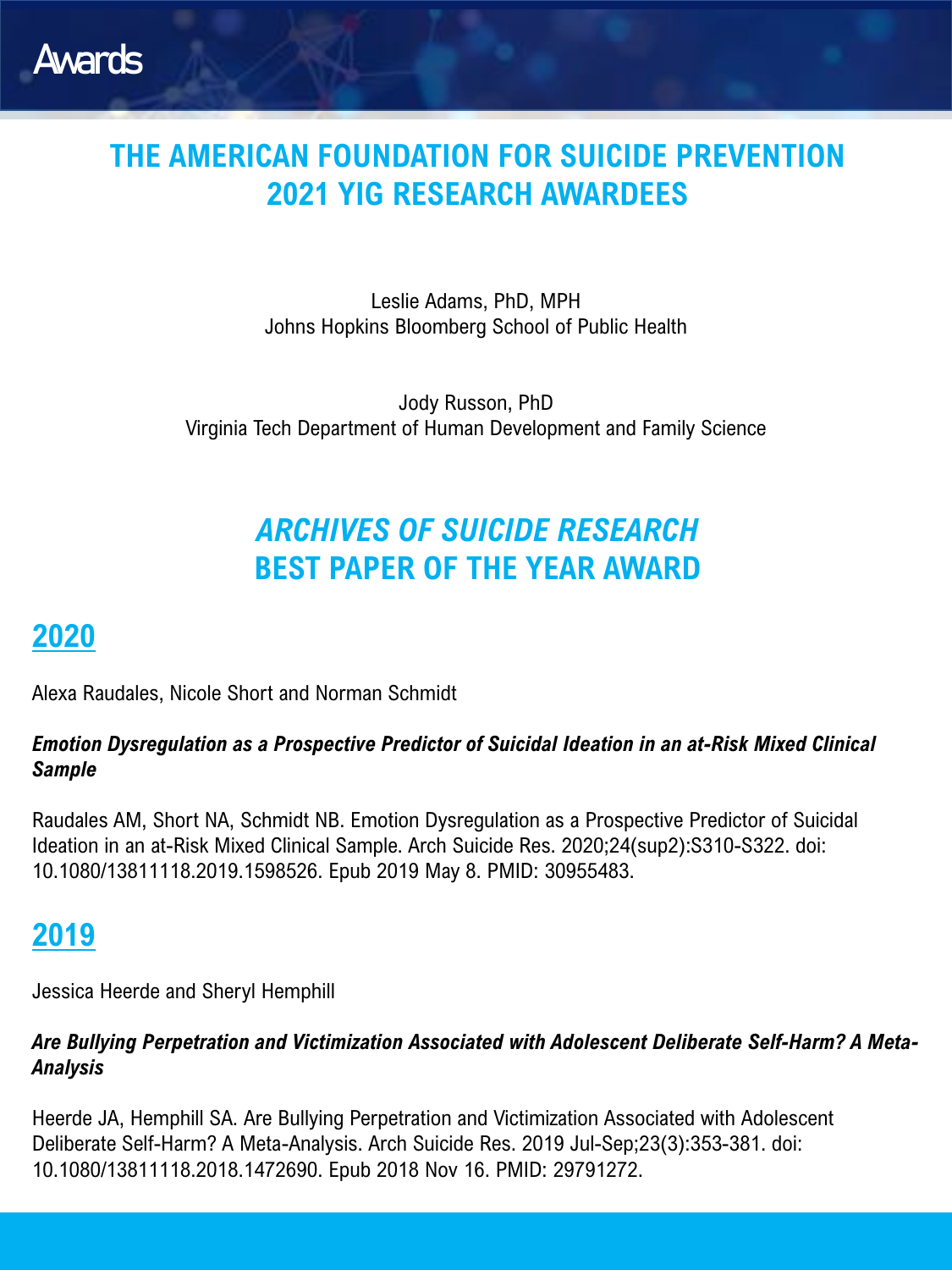

## **THE AMERICAN FOUNDATION FOR SUICIDE PREVENTION 2021 YIG RESEARCH AWARDEES**

Leslie Adams, PhD, MPH Johns Hopkins Bloomberg School of Public Health

Jody Russon, PhD Virginia Tech Department of Human Development and Family Science

## *ARCHIVES OF SUICIDE RESEARCH*  **BEST PAPER OF THE YEAR AWARD**

#### **2020**

Alexa Raudales, Nicole Short and Norman Schmidt

#### *Emotion Dysregulation as a Prospective Predictor of Suicidal Ideation in an at-Risk Mixed Clinical Sample*

Raudales AM, Short NA, Schmidt NB. Emotion Dysregulation as a Prospective Predictor of Suicidal Ideation in an at-Risk Mixed Clinical Sample. Arch Suicide Res. 2020;24(sup2):S310-S322. doi: 10.1080/13811118.2019.1598526. Epub 2019 May 8. PMID: 30955483.

### **2019**

Jessica Heerde and Sheryl Hemphill

#### *Are Bullying Perpetration and Victimization Associated with Adolescent Deliberate Self-Harm? A Meta-Analysis*

Heerde JA, Hemphill SA. Are Bullying Perpetration and Victimization Associated with Adolescent Deliberate Self-Harm? A Meta-Analysis. Arch Suicide Res. 2019 Jul-Sep;23(3):353-381. doi: 10.1080/13811118.2018.1472690. Epub 2018 Nov 16. PMID: 29791272.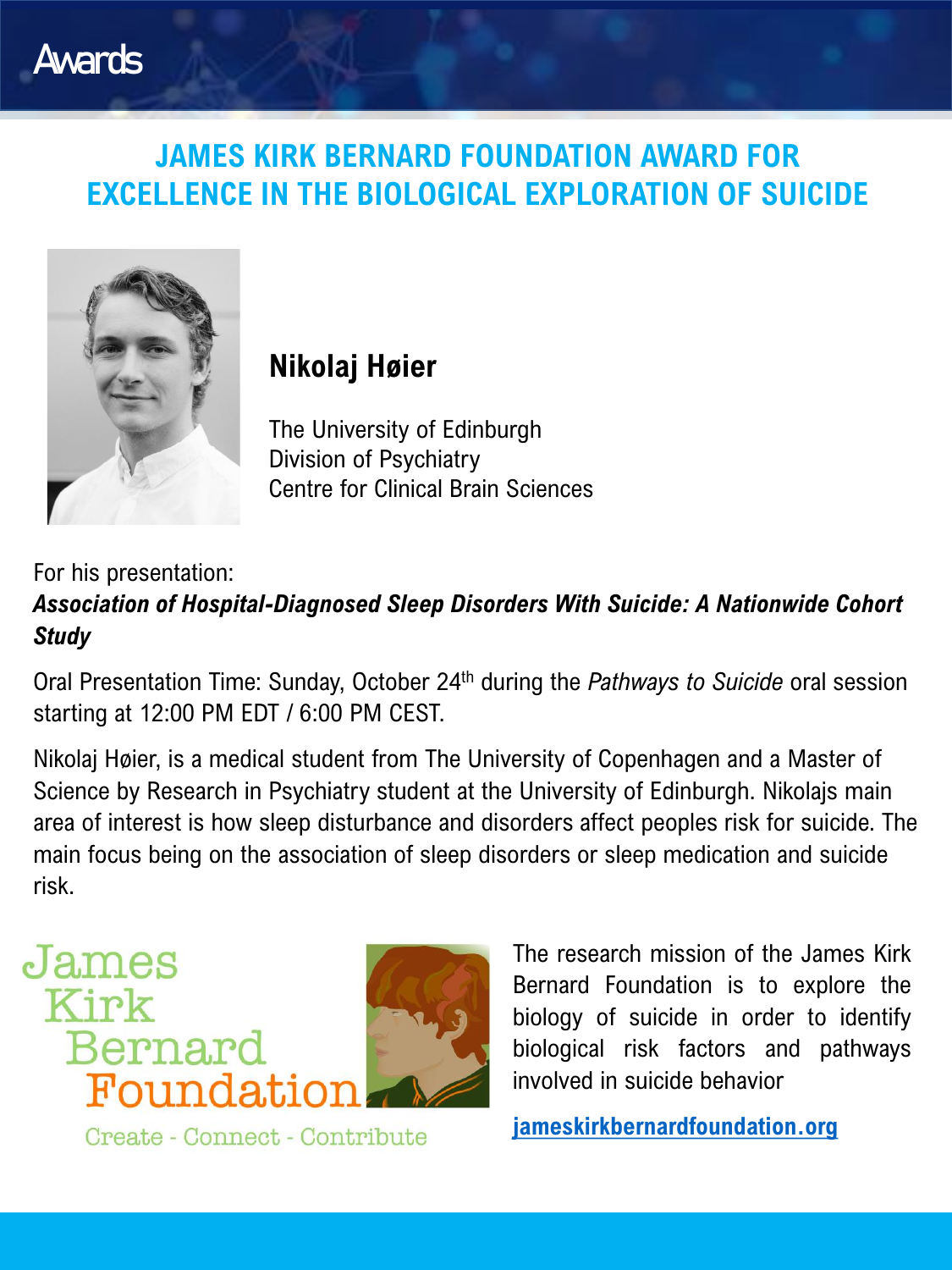## **JAMES KIRK BERNARD FOUNDATION AWARD FOR EXCELLENCE IN THE BIOLOGICAL EXPLORATION OF SUICIDE**



Awards

## **Nikolaj Høier**

The University of Edinburgh Division of Psychiatry Centre for Clinical Brain Sciences

#### For his presentation: *Association of Hospital-Diagnosed Sleep Disorders With Suicide: A Nationwide Cohort Study*

Oral Presentation Time: Sunday, October 24th during the *Pathways to Suicide* oral session starting at 12:00 PM EDT / 6:00 PM CEST.

Nikolaj Høier, is a medical student from The University of Copenhagen and a Master of Science by Research in Psychiatry student at the University of Edinburgh. Nikolajs main area of interest is how sleep disturbance and disorders affect peoples risk for suicide. The main focus being on the association of sleep disorders or sleep medication and suicide risk.



The research mission of the James Kirk Bernard Foundation is to explore the biology of suicide in order to identify biological risk factors and pathways involved in suicide behavior

Create - Connect - Contribute

**[jameskirkbernardfoundation.org](http://www.jameskirkbernardfoundation.org/)**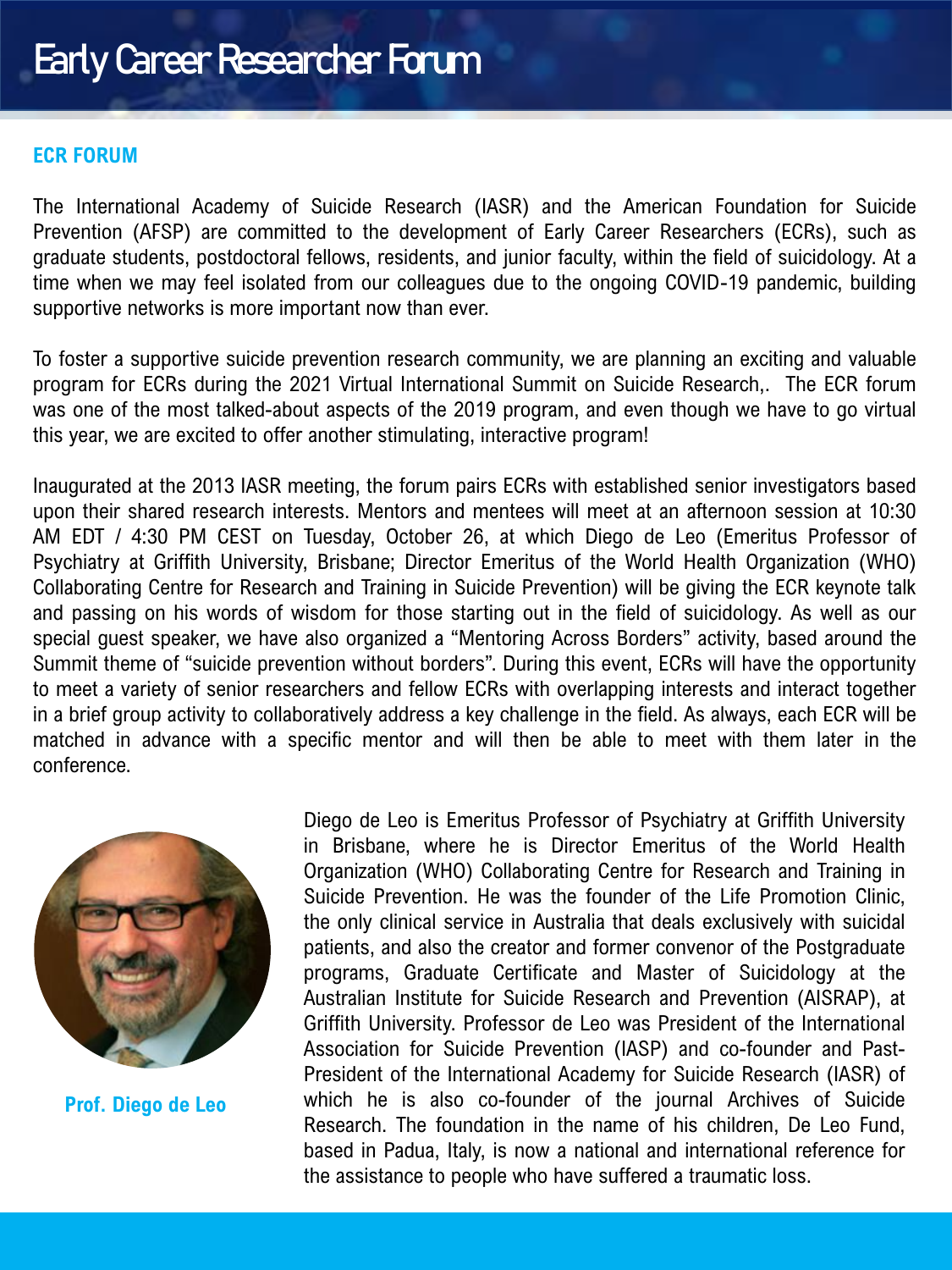#### **ECR FORUM**

The International Academy of Suicide Research (IASR) and the American Foundation for Suicide Prevention (AFSP) are committed to the development of Early Career Researchers (ECRs), such as graduate students, postdoctoral fellows, residents, and junior faculty, within the field of suicidology. At a time when we may feel isolated from our colleagues due to the ongoing COVID-19 pandemic, building supportive networks is more important now than ever.

To foster a supportive suicide prevention research community, we are planning an exciting and valuable program for ECRs during the 2021 Virtual International Summit on Suicide Research,. The ECR forum was one of the most talked-about aspects of the 2019 program, and even though we have to go virtual this year, we are excited to offer another stimulating, interactive program!

Inaugurated at the 2013 IASR meeting, the forum pairs ECRs with established senior investigators based upon their shared research interests. Mentors and mentees will meet at an afternoon session at 10:30 AM EDT / 4:30 PM CEST on Tuesday, October 26, at which Diego de Leo (Emeritus Professor of Psychiatry at Griffith University, Brisbane; Director Emeritus of the World Health Organization (WHO) Collaborating Centre for Research and Training in Suicide Prevention) will be giving the ECR keynote talk and passing on his words of wisdom for those starting out in the field of suicidology. As well as our special guest speaker, we have also organized a "Mentoring Across Borders" activity, based around the Summit theme of "suicide prevention without borders". During this event, ECRs will have the opportunity to meet a variety of senior researchers and fellow ECRs with overlapping interests and interact together in a brief group activity to collaboratively address a key challenge in the field. As always, each ECR will be matched in advance with a specific mentor and will then be able to meet with them later in the conference.



**Prof. Diego de Leo**

Diego de Leo is Emeritus Professor of Psychiatry at Griffith University in Brisbane, where he is Director Emeritus of the World Health Organization (WHO) Collaborating Centre for Research and Training in Suicide Prevention. He was the founder of the Life Promotion Clinic, the only clinical service in Australia that deals exclusively with suicidal patients, and also the creator and former convenor of the Postgraduate programs, Graduate Certificate and Master of Suicidology at the Australian Institute for Suicide Research and Prevention (AISRAP), at Griffith University. Professor de Leo was President of the International Association for Suicide Prevention (IASP) and co-founder and Past-President of the International Academy for Suicide Research (IASR) of which he is also co-founder of the journal Archives of Suicide Research. The foundation in the name of his children, De Leo Fund, based in Padua, Italy, is now a national and international reference for the assistance to people who have suffered a traumatic loss.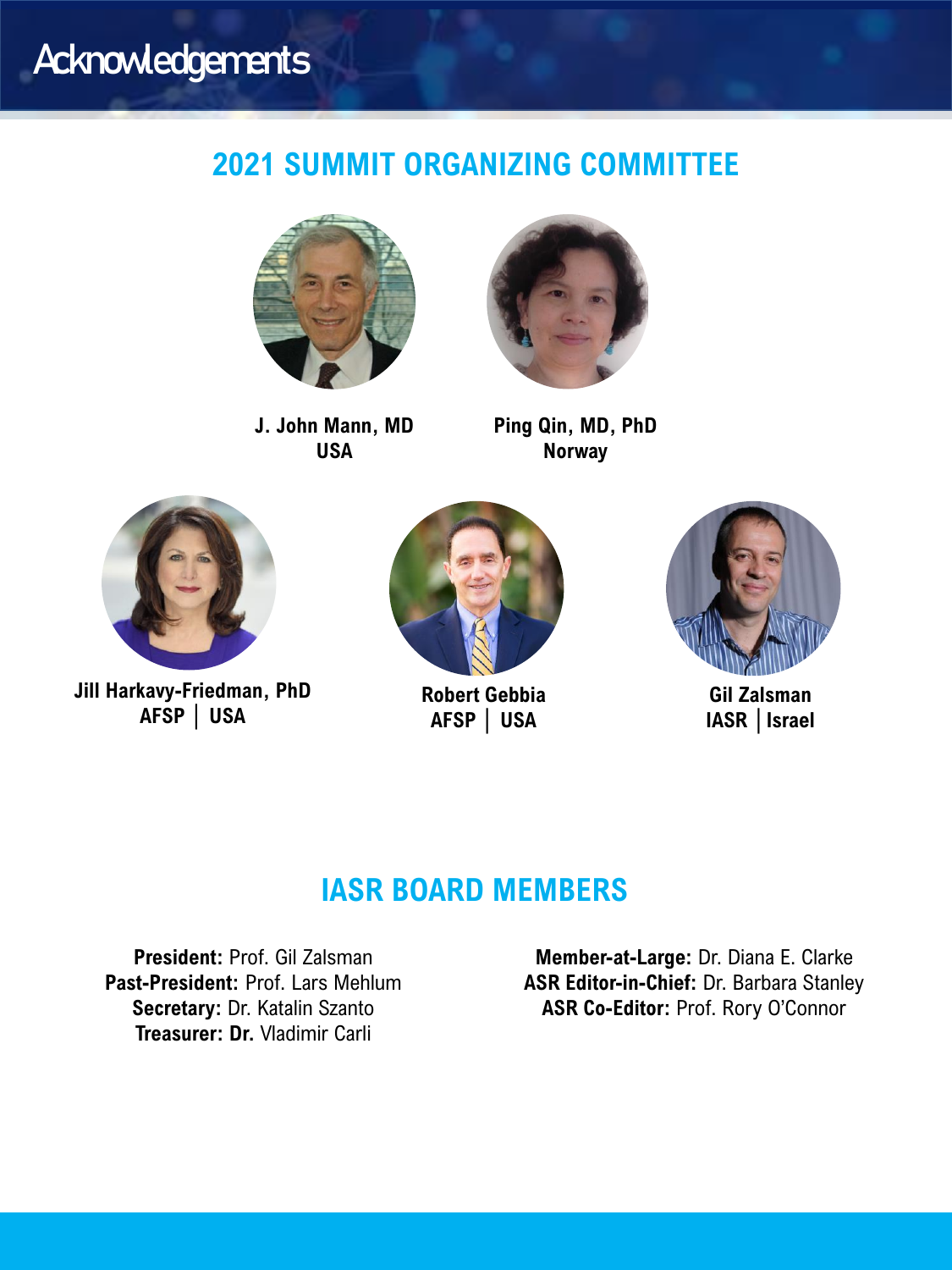## **Acknowledgements**

### **2021 SUMMIT ORGANIZING COMMITTEE**



**J. John Mann, MD USA** 



**Ping Qin, MD, PhD Norway**



**Jill Harkavy-Friedman, PhD AFSP │ USA** 



**Robert Gebbia AFSP │ USA** 



**Gil Zalsman IASR │Israel**

#### **IASR BOARD MEMBERS**

**President:** Prof. Gil Zalsman **Past-President:** Prof. Lars Mehlum **Secretary:** Dr. Katalin Szanto **Treasurer: Dr.** Vladimir Carli

**Member-at-Large:** Dr. Diana E. Clarke **ASR Editor-in-Chief:** Dr. Barbara Stanley **ASR Co-Editor:** Prof. Rory O'Connor